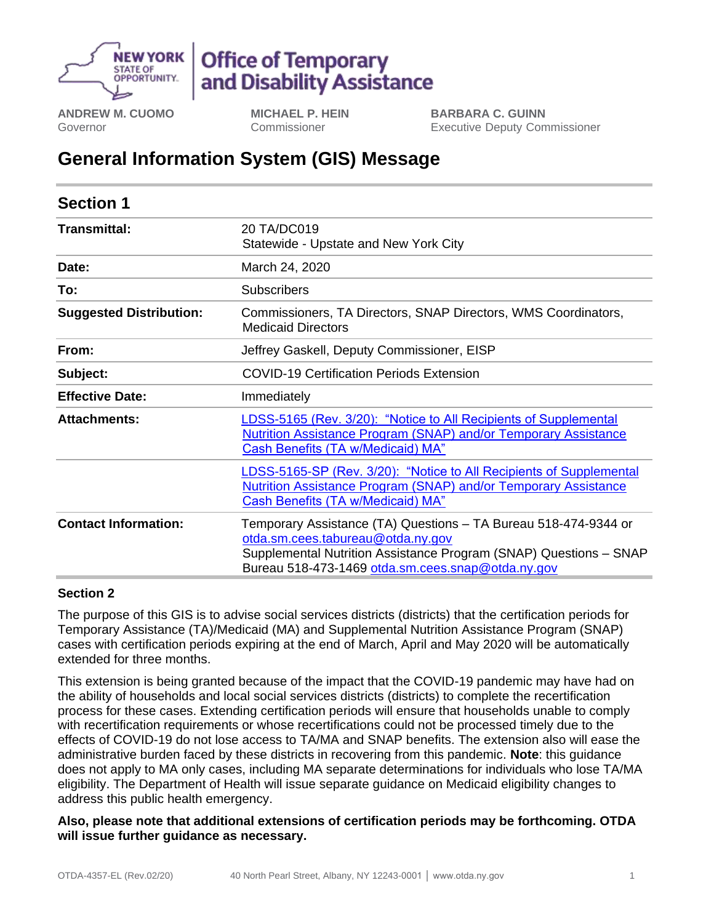

# **Office of Temporary** and Disability Assistance

**ANDREW M. CUOMO** Governor

**MICHAEL P. HEIN** Commissioner

**BARBARA C. GUINN** Executive Deputy Commissioner

## **General Information System (GIS) Message**

| <b>Section 1</b>               |                                                                                                                                                                                                                                |
|--------------------------------|--------------------------------------------------------------------------------------------------------------------------------------------------------------------------------------------------------------------------------|
| Transmittal:                   | 20 TA/DC019<br>Statewide - Upstate and New York City                                                                                                                                                                           |
| Date:                          | March 24, 2020                                                                                                                                                                                                                 |
| To:                            | <b>Subscribers</b>                                                                                                                                                                                                             |
| <b>Suggested Distribution:</b> | Commissioners, TA Directors, SNAP Directors, WMS Coordinators,<br><b>Medicaid Directors</b>                                                                                                                                    |
| From:                          | Jeffrey Gaskell, Deputy Commissioner, EISP                                                                                                                                                                                     |
| Subject:                       | <b>COVID-19 Certification Periods Extension</b>                                                                                                                                                                                |
| <b>Effective Date:</b>         | Immediately                                                                                                                                                                                                                    |
| <b>Attachments:</b>            | LDSS-5165 (Rev. 3/20): "Notice to All Recipients of Supplemental<br>Nutrition Assistance Program (SNAP) and/or Temporary Assistance<br><b>Cash Benefits (TA w/Medicaid) MA"</b>                                                |
|                                | LDSS-5165-SP (Rev. 3/20): "Notice to All Recipients of Supplemental<br>Nutrition Assistance Program (SNAP) and/or Temporary Assistance<br><b>Cash Benefits (TA w/Medicaid) MA"</b>                                             |
| <b>Contact Information:</b>    | Temporary Assistance (TA) Questions – TA Bureau 518-474-9344 or<br>otda.sm.cees.tabureau@otda.ny.gov<br>Supplemental Nutrition Assistance Program (SNAP) Questions - SNAP<br>Bureau 518-473-1469 otda.sm.cees.snap@otda.ny.gov |

#### **Section 2**

The purpose of this GIS is to advise social services districts (districts) that the certification periods for Temporary Assistance (TA)/Medicaid (MA) and Supplemental Nutrition Assistance Program (SNAP) cases with certification periods expiring at the end of March, April and May 2020 will be automatically extended for three months.

This extension is being granted because of the impact that the COVID-19 pandemic may have had on the ability of households and local social services districts (districts) to complete the recertification process for these cases. Extending certification periods will ensure that households unable to comply with recertification requirements or whose recertifications could not be processed timely due to the effects of COVID-19 do not lose access to TA/MA and SNAP benefits. The extension also will ease the administrative burden faced by these districts in recovering from this pandemic. **Note**: this guidance does not apply to MA only cases, including MA separate determinations for individuals who lose TA/MA eligibility. The Department of Health will issue separate guidance on Medicaid eligibility changes to address this public health emergency.

**Also, please note that additional extensions of certification periods may be forthcoming. OTDA will issue further guidance as necessary.**